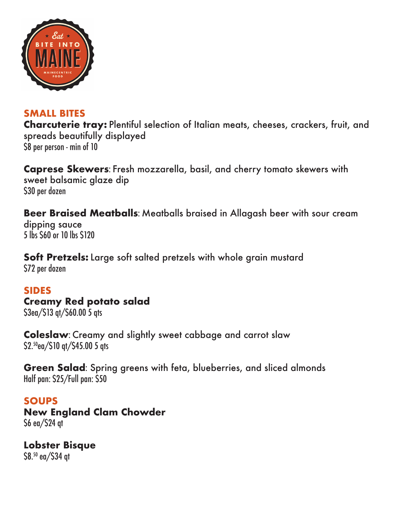

# **SMALL BITES**

**Charcuterie tray:** Plentiful selection of Italian meats, cheeses, crackers, fruit, and spreads beautifully displayed \$8 per person - min of 10

**Caprese Skewers**: Fresh mozzarella, basil, and cherry tomato skewers with sweet balsamic glaze dip \$30 per dozen

**Beer Braised Meatballs**: Meatballs braised in Allagash beer with sour cream dipping sauce 5 lbs \$60 or 10 lbs \$120

**Soft Pretzels:** Large soft salted pretzels with whole grain mustard \$72 per dozen

### **SIDES**

**Creamy Red potato salad**

\$3ea/\$13 qt/\$60.00 5 qts

**Coleslaw**: Creamy and slightly sweet cabbage and carrot slaw \$2.50ea/\$10 qt/\$45.00 5 qts

**Green Salad**: Spring greens with feta, blueberries, and sliced almonds Half pan: \$25/Full pan: \$50

**SOUPS**

**New England Clam Chowder** \$6 ea/\$24 qt

**Lobster Bisque** \$8.50 ea/\$34 qt